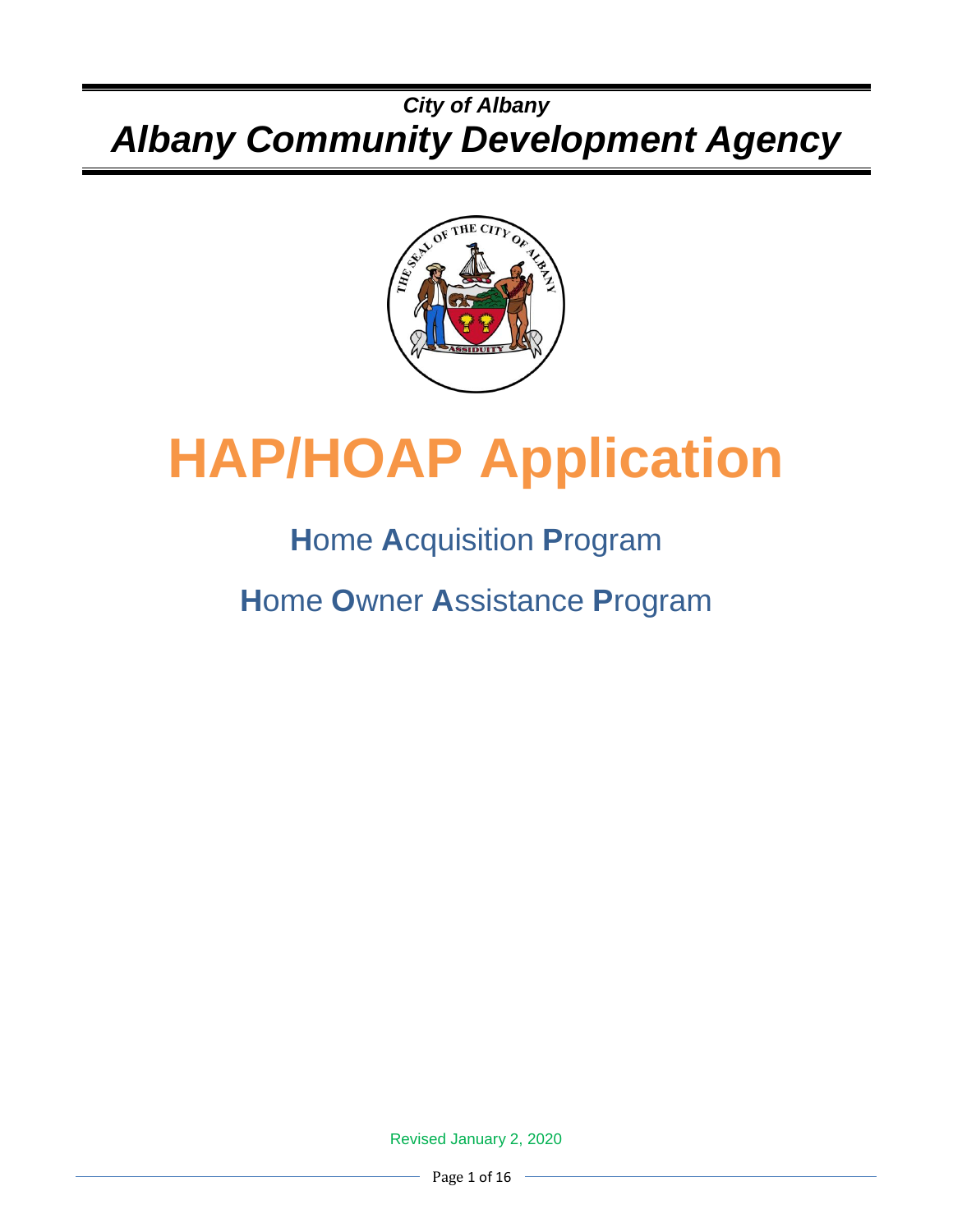## *City of Albany Albany Community Development Agency*



# **HAP/HOAP Application**

# **H**ome **A**cquisition **P**rogram

**H**ome **O**wner **A**ssistance **P**rogram

Revised January 2, 2020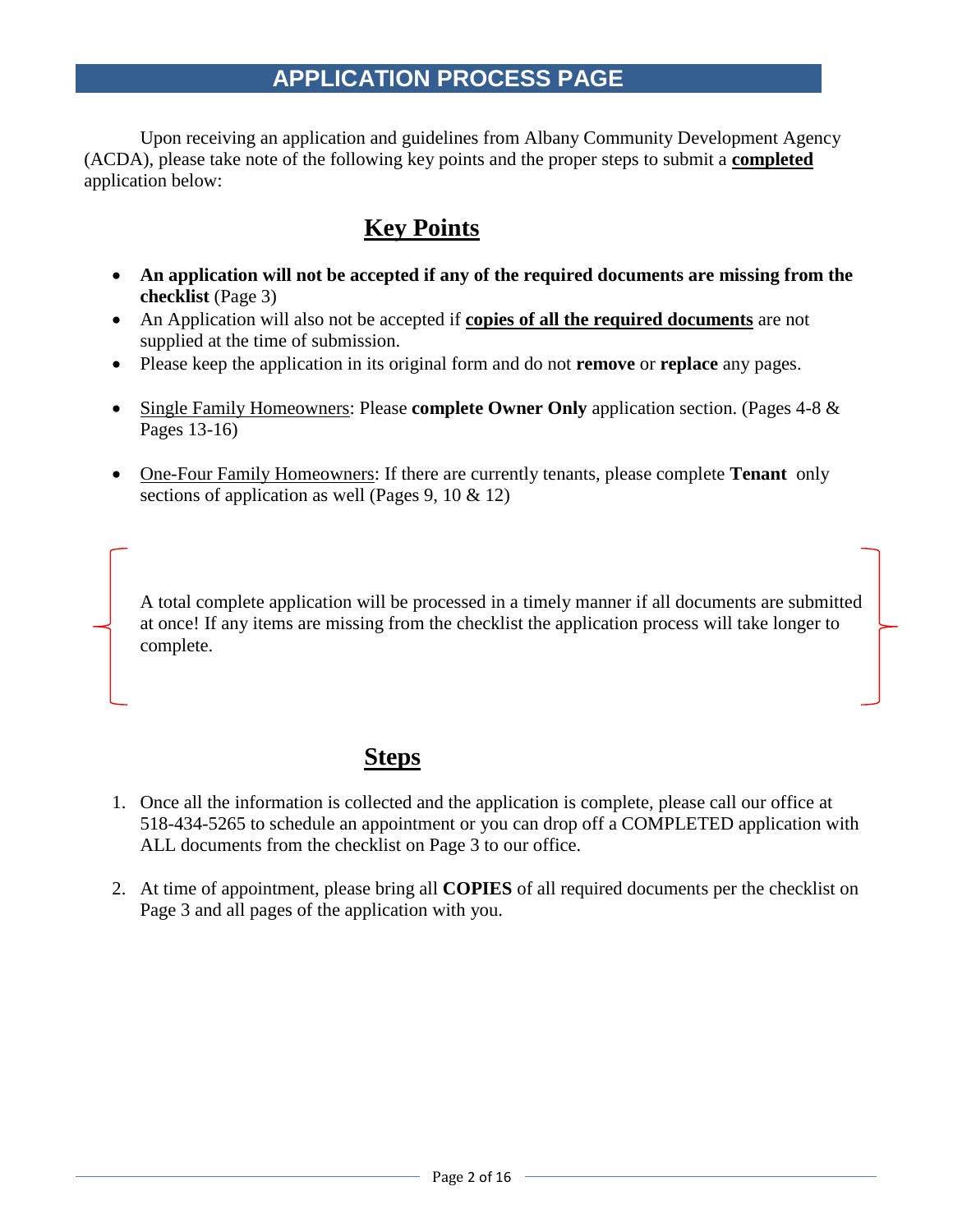## **APPLICATION PROCESS PAGE**

Upon receiving an application and guidelines from Albany Community Development Agency (ACDA), please take note of the following key points and the proper steps to submit a **completed** application below:

## **Key Points**

- **An application will not be accepted if any of the required documents are missing from the checklist** (Page 3)
- An Application will also not be accepted if **copies of all the required documents** are not supplied at the time of submission.
- Please keep the application in its original form and do not **remove** or **replace** any pages.
- Single Family Homeowners: Please **complete Owner Only** application section. (Pages 4-8 & Pages 13-16)
- One-Four Family Homeowners: If there are currently tenants, please complete **Tenant** only sections of application as well (Pages 9, 10 & 12)

A total complete application will be processed in a timely manner if all documents are submitted at once! If any items are missing from the checklist the application process will take longer to complete.

## **Steps**

- 1. Once all the information is collected and the application is complete, please call our office at 518-434-5265 to schedule an appointment or you can drop off a COMPLETED application with ALL documents from the checklist on Page 3 to our office.
- 2. At time of appointment, please bring all **COPIES** of all required documents per the checklist on Page 3 and all pages of the application with you.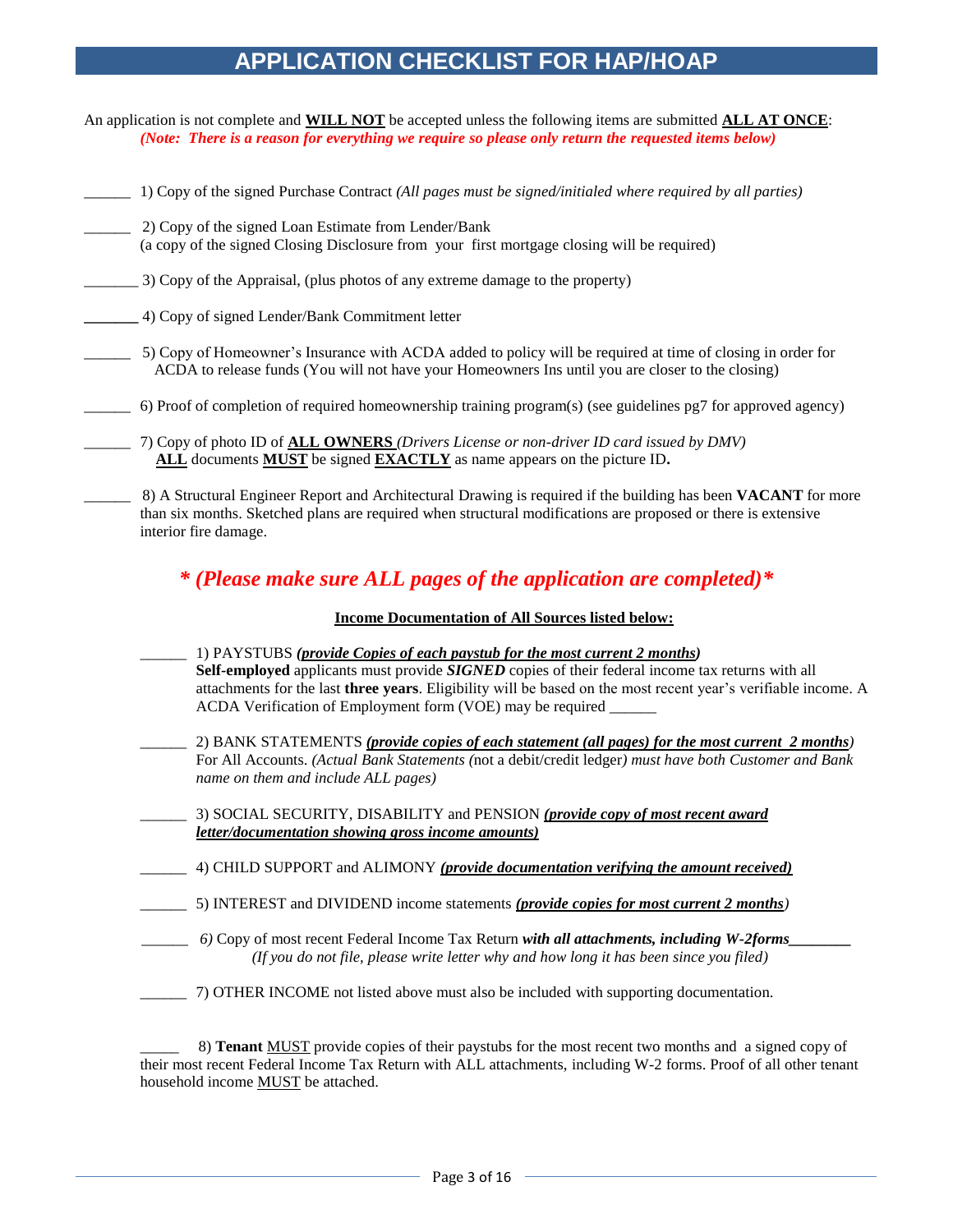## **APPLICATION CHECKLIST FOR HAP/HOAP**

- An application is not complete and **WILL NOT** be accepted unless the following items are submitted **ALL AT ONCE**: *(Note: There is a reason for everything we require so please only return the requested items below)*
- \_\_\_\_\_\_ 1) Copy of the signed Purchase Contract *(All pages must be signed/initialed where required by all parties)*
- \_\_\_\_\_\_ 2) Copy of the signed Loan Estimate from Lender/Bank (a copy of the signed Closing Disclosure from your first mortgage closing will be required)
- \_\_\_\_\_\_\_ 3) Copy of the Appraisal, (plus photos of any extreme damage to the property)
- **\_\_\_\_\_\_\_** 4) Copy of signed Lender/Bank Commitment letter
	- \_\_\_\_\_\_ 5) Copy of Homeowner's Insurance with ACDA added to policy will be required at time of closing in order for ACDA to release funds (You will not have your Homeowners Ins until you are closer to the closing)
		- \_\_\_\_\_\_ 6) Proof of completion of required homeownership training program(s) (see guidelines pg7 for approved agency)
- \_\_\_\_\_\_ 7) Copy of photo ID of **ALL OWNERS** *(Drivers License or non-driver ID card issued by DMV)*  **ALL** documents **MUST** be signed **EXACTLY** as name appears on the picture ID**.**
- \_\_\_\_\_\_ 8) A Structural Engineer Report and Architectural Drawing is required if the building has been **VACANT** for more than six months. Sketched plans are required when structural modifications are proposed or there is extensive interior fire damage.

#### *\* (Please make sure ALL pages of the application are completed)\**

#### **Income Documentation of All Sources listed below:**

- \_\_\_\_\_\_ 1) PAYSTUBS *(provide Copies of each paystub for the most current 2 months)* **Self-employed** applicants must provide *SIGNED* copies of their federal income tax returns with all attachments for the last **three years**. Eligibility will be based on the most recent year's verifiable income. A ACDA Verification of Employment form (VOE) may be required \_\_\_\_\_\_ \_\_\_\_\_\_ 2) BANK STATEMENTS *(provide copies of each statement (all pages) for the most current 2 months)* For All Accounts. *(Actual Bank Statements (*not a debit/credit ledger*) must have both Customer and Bank name on them and include ALL pages) \_\_\_\_\_\_* 3) SOCIAL SECURITY, DISABILITY and PENSION *(provide copy of most recent award letter/documentation showing gross income amounts)* \_\_\_\_\_\_ 4) CHILD SUPPORT and ALIMONY *(provide documentation verifying the amount received)* \_\_\_\_\_\_ 5) INTEREST and DIVIDEND income statements *(provide copies for most current 2 months)*
- *\_\_\_\_\_\_ 6)* Copy of most recent Federal Income Tax Return *with all attachments, including W-2forms\_\_\_\_\_\_\_\_ (If you do not file, please write letter why and how long it has been since you filed)*
- \_\_\_\_\_\_ 7) OTHER INCOME not listed above must also be included with supporting documentation.

\_\_\_\_\_ 8) **Tenant** MUST provide copies of their paystubs for the most recent two months and a signed copy of their most recent Federal Income Tax Return with ALL attachments, including W-2 forms. Proof of all other tenant household income MUST be attached.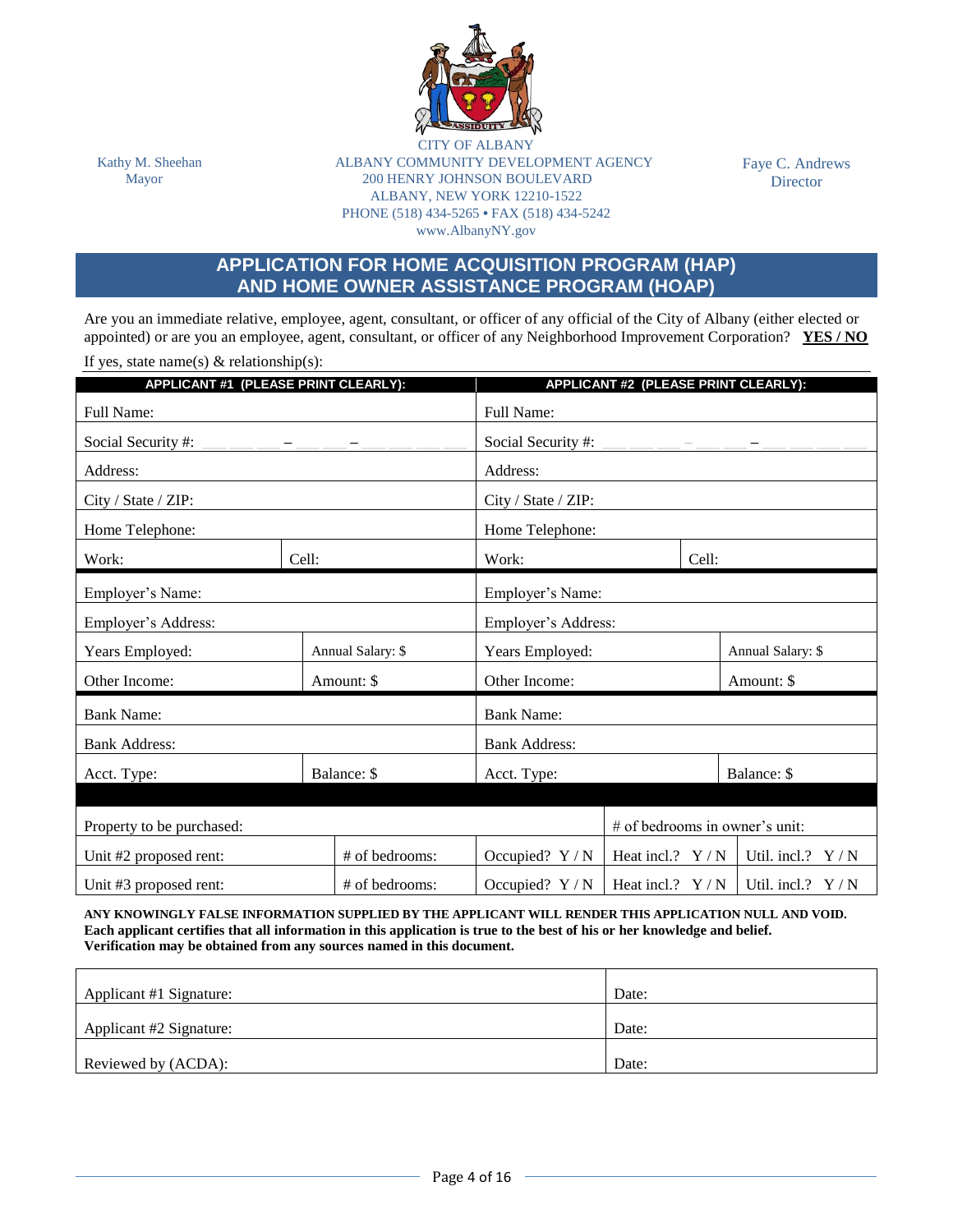

CITY OF ALB Kathy M. Sheehan ALBANY COMMUNITY DEVELOPMENT AGENCY Mayor 200 HENRY JOHNSON BOULEVARD ALBANY, NEW YORK 12210-1522 PHONE (518) 434-5265 **•** FAX (518) 434-5242 www.AlbanyNY.gov

Faye C. Andrews **Director** 

#### **APPLICATION FOR HOME ACQUISITION PROGRAM (HAP) AND HOME OWNER ASSISTANCE PROGRAM (HOAP)**

Are you an immediate relative, employee, agent, consultant, or officer of any official of the City of Albany (either elected or appointed) or are you an employee, agent, consultant, or officer of any Neighborhood Improvement Corporation? **YES / NO**

If yes, state name(s)  $&$  relationship(s):

| APPLICANT #1 (PLEASE PRINT CLEARLY): |       |                   |                                         | APPLICANT #2 (PLEASE PRINT CLEARLY): |       |                                |  |
|--------------------------------------|-------|-------------------|-----------------------------------------|--------------------------------------|-------|--------------------------------|--|
| <b>Full Name:</b>                    |       |                   | Full Name:                              |                                      |       |                                |  |
| Social Security #:                   |       |                   | Social Security #:                      |                                      |       |                                |  |
| Address:                             |       |                   | Address:                                |                                      |       |                                |  |
| City / State / ZIP:                  |       |                   | City / State / ZIP:                     |                                      |       |                                |  |
| Home Telephone:                      |       |                   | Home Telephone:                         |                                      |       |                                |  |
| Work:                                | Cell: |                   | Work:                                   |                                      | Cell: |                                |  |
| Employer's Name:                     |       |                   |                                         |                                      |       |                                |  |
| Employer's Address:                  |       |                   | Employer's Name:<br>Employer's Address: |                                      |       |                                |  |
| Years Employed:                      |       | Annual Salary: \$ | Years Employed:                         |                                      |       | Annual Salary: \$              |  |
| Other Income:                        |       | Amount: \$        | Other Income:                           |                                      |       | Amount: \$                     |  |
| <b>Bank Name:</b>                    |       |                   | <b>Bank Name:</b>                       |                                      |       |                                |  |
| <b>Bank Address:</b>                 |       |                   | <b>Bank Address:</b>                    |                                      |       |                                |  |
| Acct. Type:                          |       | Balance: \$       | Acct. Type:                             |                                      |       | Balance: \$                    |  |
|                                      |       |                   |                                         |                                      |       |                                |  |
| Property to be purchased:            |       |                   |                                         |                                      |       | # of bedrooms in owner's unit: |  |
| Unit #2 proposed rent:               |       | # of bedrooms:    | Occupied? $Y/N$                         | Heat incl.? $Y/N$                    |       | Util. incl.? $Y/N$             |  |
| Unit #3 proposed rent:               |       | # of bedrooms:    | Occupied? $Y/N$                         | Heat incl.? $Y/N$                    |       | Util. incl.? $Y/N$             |  |

**ANY KNOWINGLY FALSE INFORMATION SUPPLIED BY THE APPLICANT WILL RENDER THIS APPLICATION NULL AND VOID. Each applicant certifies that all information in this application is true to the best of his or her knowledge and belief. Verification may be obtained from any sources named in this document.**

| Applicant #1 Signature: | Date: |
|-------------------------|-------|
|                         |       |
| Applicant #2 Signature: | Date: |
|                         |       |
| Reviewed by (ACDA):     | Date: |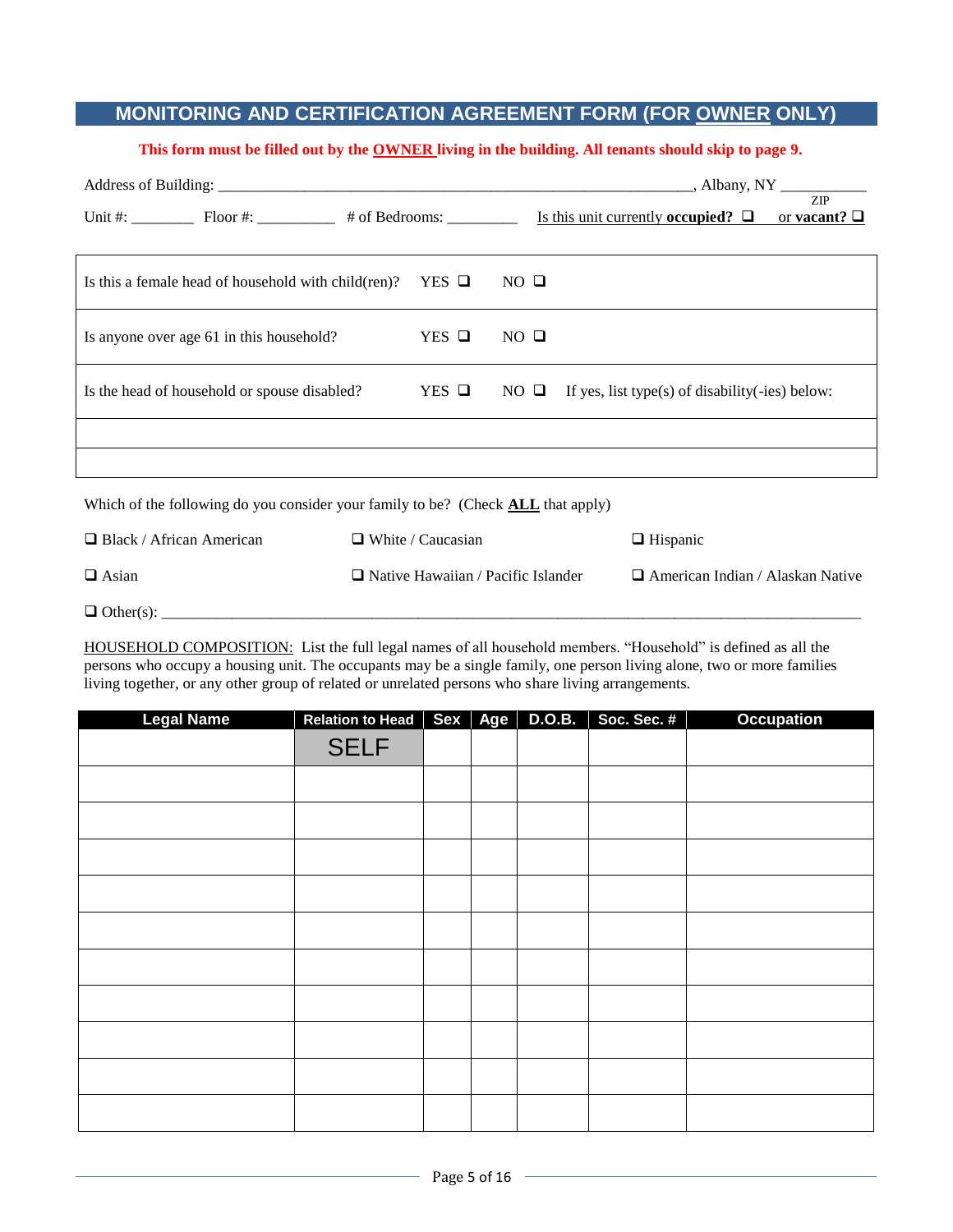#### **MONITORING AND CERTIFICATION AGREEMENT FORM (FOR OWNER ONLY)**

#### **This form must be filled out by the OWNER living in the building. All tenants should skip to page 9.**

|                                                                                         |  |                                           |                |                                                     |  | <b>ZIP</b>                              |  |
|-----------------------------------------------------------------------------------------|--|-------------------------------------------|----------------|-----------------------------------------------------|--|-----------------------------------------|--|
| Is this a female head of household with child (ren)? YES $\Box$                         |  |                                           | $NO$ $\Box$    |                                                     |  |                                         |  |
| Is anyone over age 61 in this household?                                                |  | $YES$ $\Box$                              | $NO$ $\Box$    |                                                     |  |                                         |  |
| Is the head of household or spouse disabled?                                            |  | $YES$ $\Box$                              | $NO$ $\square$ | If yes, list type(s) of disability( $-i$ es) below: |  |                                         |  |
|                                                                                         |  |                                           |                |                                                     |  |                                         |  |
|                                                                                         |  |                                           |                |                                                     |  |                                         |  |
| Which of the following do you consider your family to be? (Check <b>ALL</b> that apply) |  |                                           |                |                                                     |  |                                         |  |
| $\Box$ Black / African American                                                         |  | $\Box$ White / Caucasian                  |                | $\Box$ Hispanic                                     |  |                                         |  |
| $\Box$ Asian                                                                            |  | $\Box$ Native Hawaiian / Pacific Islander |                |                                                     |  | $\Box$ American Indian / Alaskan Native |  |

Other(s): \_\_\_\_\_\_\_\_\_\_\_\_\_\_\_\_\_\_\_\_\_\_\_\_\_\_\_\_\_\_\_\_\_\_\_\_\_\_\_\_\_\_\_\_\_\_\_\_\_\_\_\_\_\_\_\_\_\_\_\_\_\_\_\_\_\_\_\_\_\_\_\_\_\_\_\_\_\_\_\_\_\_\_\_\_\_\_\_\_\_

HOUSEHOLD COMPOSITION: List the full legal names of all household members. "Household" is defined as all the persons who occupy a housing unit. The occupants may be a single family, one person living alone, two or more families living together, or any other group of related or unrelated persons who share living arrangements.

| <b>Legal Name</b> | Relation to Head   Sex   Age |  | <b>D.O.B.</b> | Soc. Sec. #<br>Ш | <b>Occupation</b> |
|-------------------|------------------------------|--|---------------|------------------|-------------------|
|                   | <b>SELF</b>                  |  |               |                  |                   |
|                   |                              |  |               |                  |                   |
|                   |                              |  |               |                  |                   |
|                   |                              |  |               |                  |                   |
|                   |                              |  |               |                  |                   |
|                   |                              |  |               |                  |                   |
|                   |                              |  |               |                  |                   |
|                   |                              |  |               |                  |                   |
|                   |                              |  |               |                  |                   |
|                   |                              |  |               |                  |                   |
|                   |                              |  |               |                  |                   |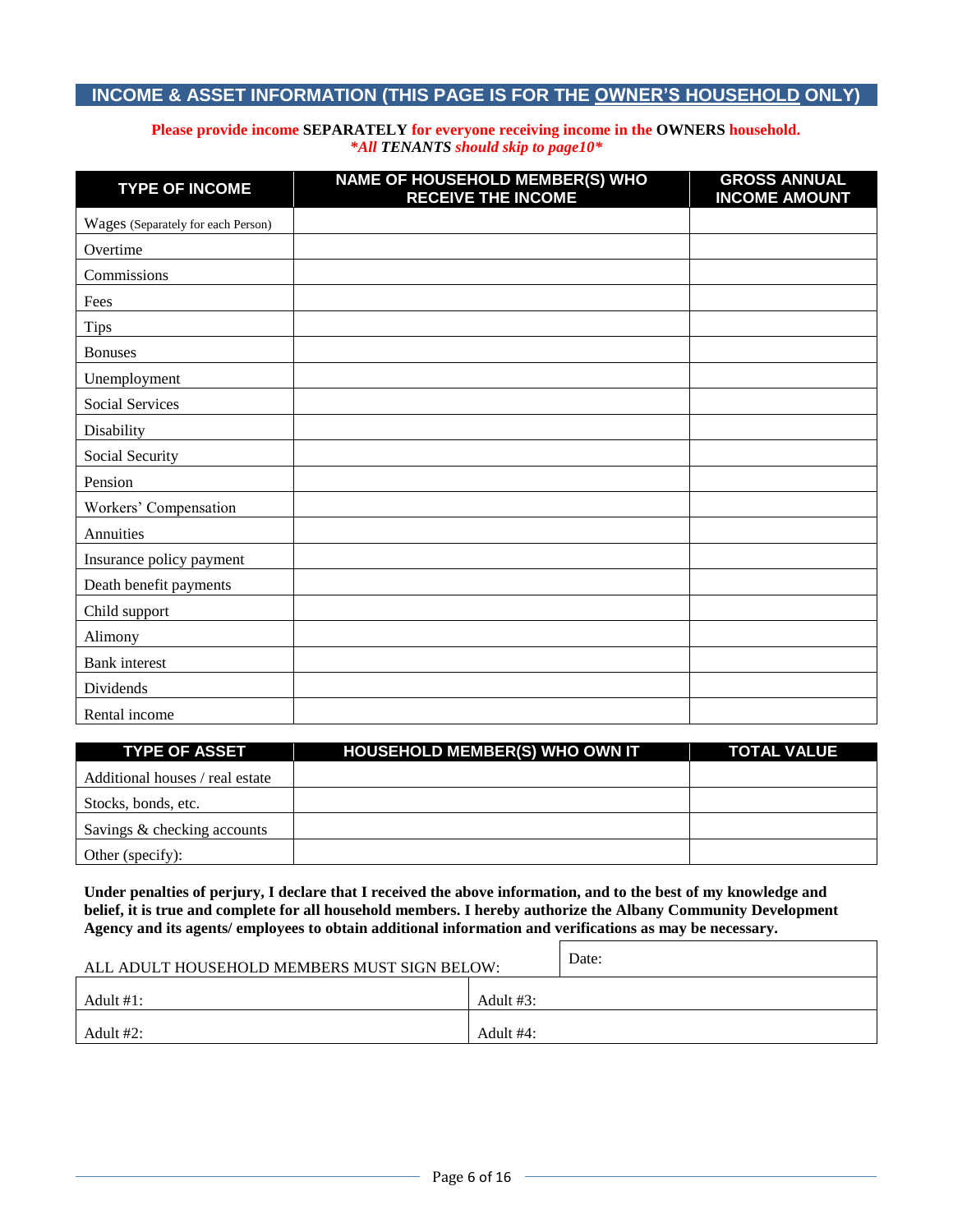#### **INCOME & ASSET INFORMATION (THIS PAGE IS FOR THE OWNER'S HOUSEHOLD ONLY)**

#### **Please provide income SEPARATELY for everyone receiving income in the OWNERS household.** *\*All TENANTS should skip to page10\**

| <b>TYPE OF INCOME</b>              | NAME OF HOUSEHOLD MEMBER(S) WHO<br><b>RECEIVE THE INCOME</b> | <b>GROSS ANNUAL</b><br><b>INCOME AMOUNT</b> |
|------------------------------------|--------------------------------------------------------------|---------------------------------------------|
| Wages (Separately for each Person) |                                                              |                                             |
| Overtime                           |                                                              |                                             |
| Commissions                        |                                                              |                                             |
| Fees                               |                                                              |                                             |
| <b>Tips</b>                        |                                                              |                                             |
| <b>Bonuses</b>                     |                                                              |                                             |
| Unemployment                       |                                                              |                                             |
| Social Services                    |                                                              |                                             |
| Disability                         |                                                              |                                             |
| Social Security                    |                                                              |                                             |
| Pension                            |                                                              |                                             |
| Workers' Compensation              |                                                              |                                             |
| Annuities                          |                                                              |                                             |
| Insurance policy payment           |                                                              |                                             |
| Death benefit payments             |                                                              |                                             |
| Child support                      |                                                              |                                             |
| Alimony                            |                                                              |                                             |
| <b>Bank</b> interest               |                                                              |                                             |
| Dividends                          |                                                              |                                             |
| Rental income                      |                                                              |                                             |

| <b>TYPE OF ASSET</b>            | <b>HOUSEHOLD MEMBER(S) WHO OWN IT</b> | <b>TOTAL VALUE</b> |
|---------------------------------|---------------------------------------|--------------------|
| Additional houses / real estate |                                       |                    |
| Stocks, bonds, etc.             |                                       |                    |
| Savings & checking accounts     |                                       |                    |
| Other (specify):                |                                       |                    |

**Under penalties of perjury, I declare that I received the above information, and to the best of my knowledge and belief, it is true and complete for all household members. I hereby authorize the Albany Community Development Agency and its agents/ employees to obtain additional information and verifications as may be necessary.**

| ALL ADULT HOUSEHOLD MEMBERS MUST SIGN BELOW: | Date:        |  |
|----------------------------------------------|--------------|--|
| Adult #1:                                    | Adult $#3$ : |  |
| Adult #2:                                    | Adult #4:    |  |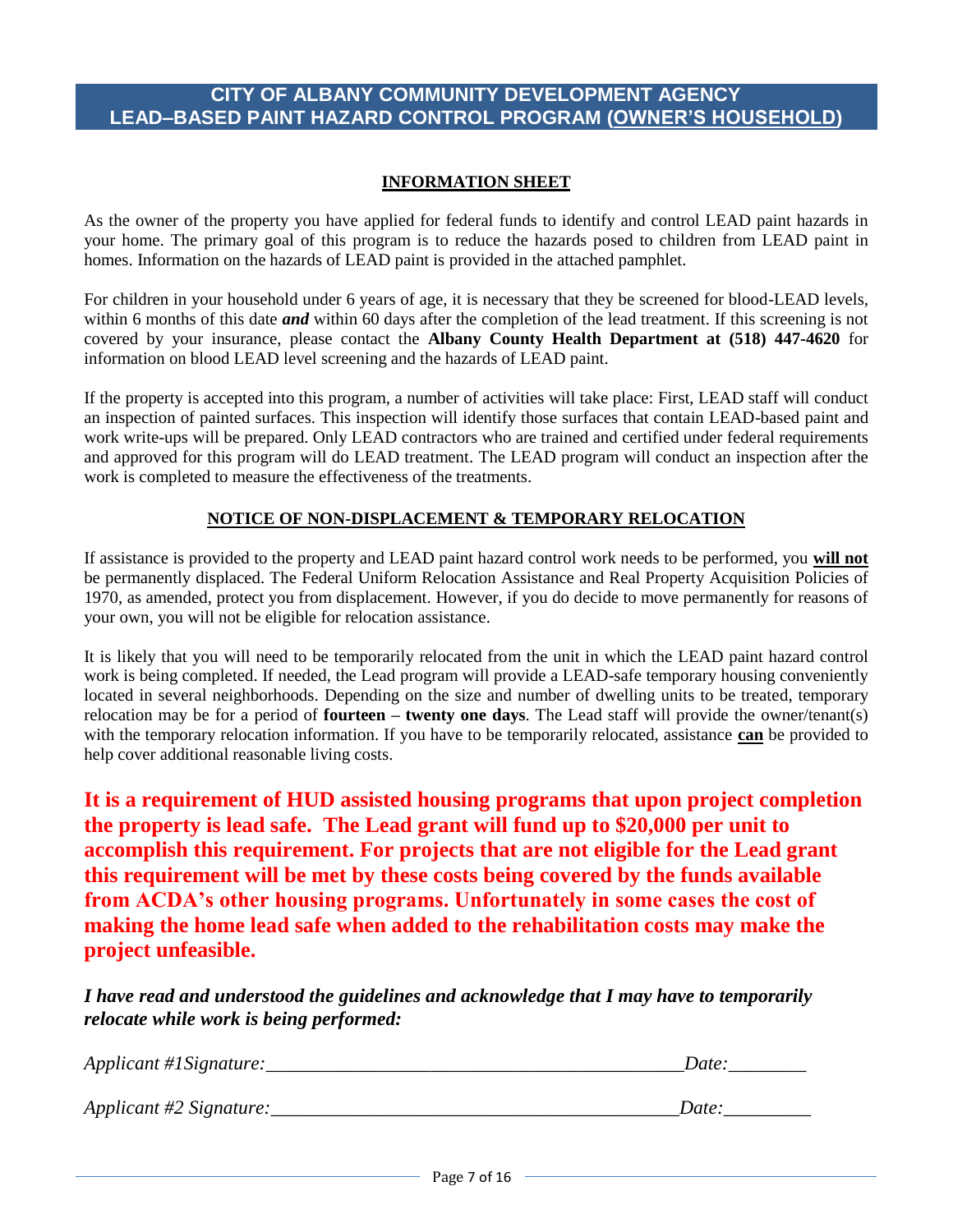#### **CITY OF ALBANY COMMUNITY DEVELOPMENT AGENCY LEAD–BASED PAINT HAZARD CONTROL PROGRAM (OWNER'S HOUSEHOLD)**

#### **INFORMATION SHEET**

As the owner of the property you have applied for federal funds to identify and control LEAD paint hazards in your home. The primary goal of this program is to reduce the hazards posed to children from LEAD paint in homes. Information on the hazards of LEAD paint is provided in the attached pamphlet.

For children in your household under 6 years of age, it is necessary that they be screened for blood-LEAD levels, within 6 months of this date **and** within 60 days after the completion of the lead treatment. If this screening is not covered by your insurance, please contact the **Albany County Health Department at (518) 447-4620** for information on blood LEAD level screening and the hazards of LEAD paint.

If the property is accepted into this program, a number of activities will take place: First, LEAD staff will conduct an inspection of painted surfaces. This inspection will identify those surfaces that contain LEAD-based paint and work write-ups will be prepared. Only LEAD contractors who are trained and certified under federal requirements and approved for this program will do LEAD treatment. The LEAD program will conduct an inspection after the work is completed to measure the effectiveness of the treatments.

#### **NOTICE OF NON-DISPLACEMENT & TEMPORARY RELOCATION**

If assistance is provided to the property and LEAD paint hazard control work needs to be performed, you **will not** be permanently displaced. The Federal Uniform Relocation Assistance and Real Property Acquisition Policies of 1970, as amended, protect you from displacement. However, if you do decide to move permanently for reasons of your own, you will not be eligible for relocation assistance.

It is likely that you will need to be temporarily relocated from the unit in which the LEAD paint hazard control work is being completed. If needed, the Lead program will provide a LEAD-safe temporary housing conveniently located in several neighborhoods. Depending on the size and number of dwelling units to be treated, temporary relocation may be for a period of **fourteen – twenty one days**. The Lead staff will provide the owner/tenant(s) with the temporary relocation information. If you have to be temporarily relocated, assistance **can** be provided to help cover additional reasonable living costs.

**It is a requirement of HUD assisted housing programs that upon project completion the property is lead safe. The Lead grant will fund up to \$20,000 per unit to accomplish this requirement. For projects that are not eligible for the Lead grant this requirement will be met by these costs being covered by the funds available from ACDA's other housing programs. Unfortunately in some cases the cost of making the home lead safe when added to the rehabilitation costs may make the project unfeasible.**

*I have read and understood the guidelines and acknowledge that I may have to temporarily relocate while work is being performed:*

| Applicant #1Signature:  | <b>J</b> ate |
|-------------------------|--------------|
| Applicant #2 Signature: |              |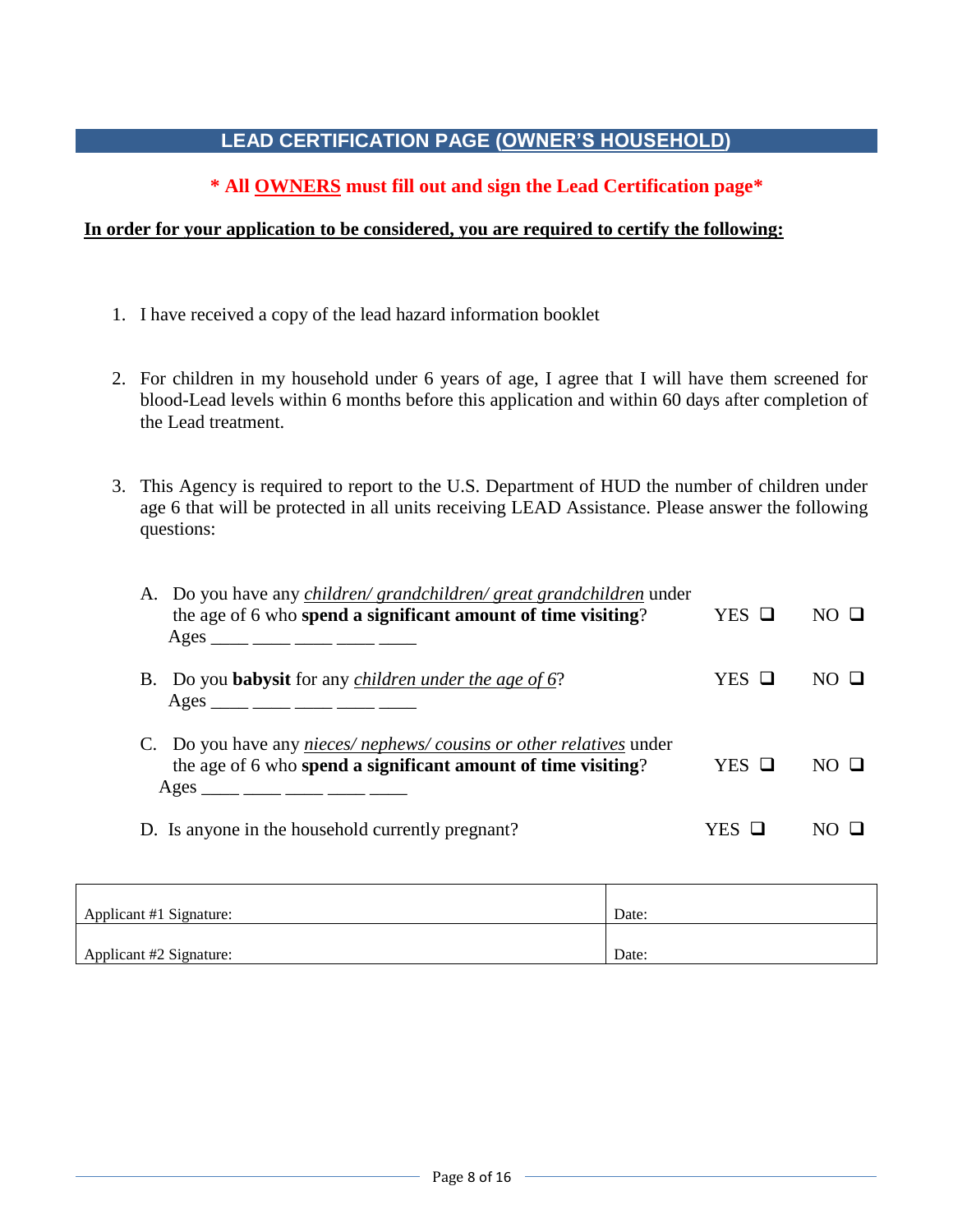### **LEAD CERTIFICATION PAGE (OWNER'S HOUSEHOLD)**

#### **\* All OWNERS must fill out and sign the Lead Certification page\***

#### **In order for your application to be considered, you are required to certify the following:**

- 1. I have received a copy of the lead hazard information booklet
- 2. For children in my household under 6 years of age, I agree that I will have them screened for blood-Lead levels within 6 months before this application and within 60 days after completion of the Lead treatment.
- 3. This Agency is required to report to the U.S. Department of HUD the number of children under age 6 that will be protected in all units receiving LEAD Assistance. Please answer the following questions:

| A. Do you have any <i>children/ grandchildren/ great grandchildren</i> under<br>the age of 6 who spend a significant amount of time visiting?<br>Ages ____ ___ ____ ____ ____ ____ | $YES$ $\Box$ | $NO$ $\Box$ |
|------------------------------------------------------------------------------------------------------------------------------------------------------------------------------------|--------------|-------------|
| B. Do you <b>babysit</b> for any <i>children under the age of 6?</i><br>Ages ____ ____ ____ ____ ____                                                                              | YES O        |             |
| C. Do you have any <i>nieces/nephews/cousins or other relatives</i> under<br>the age of 6 who spend a significant amount of time visiting?<br>Ages ____ ___ ____ ____ ____ ____    | YES O        | $NO \Box$   |
| D. Is anyone in the household currently pregnant?                                                                                                                                  | YES          |             |

| Applicant #1 Signature: | Date: |
|-------------------------|-------|
|                         |       |
| Applicant #2 Signature: | Date: |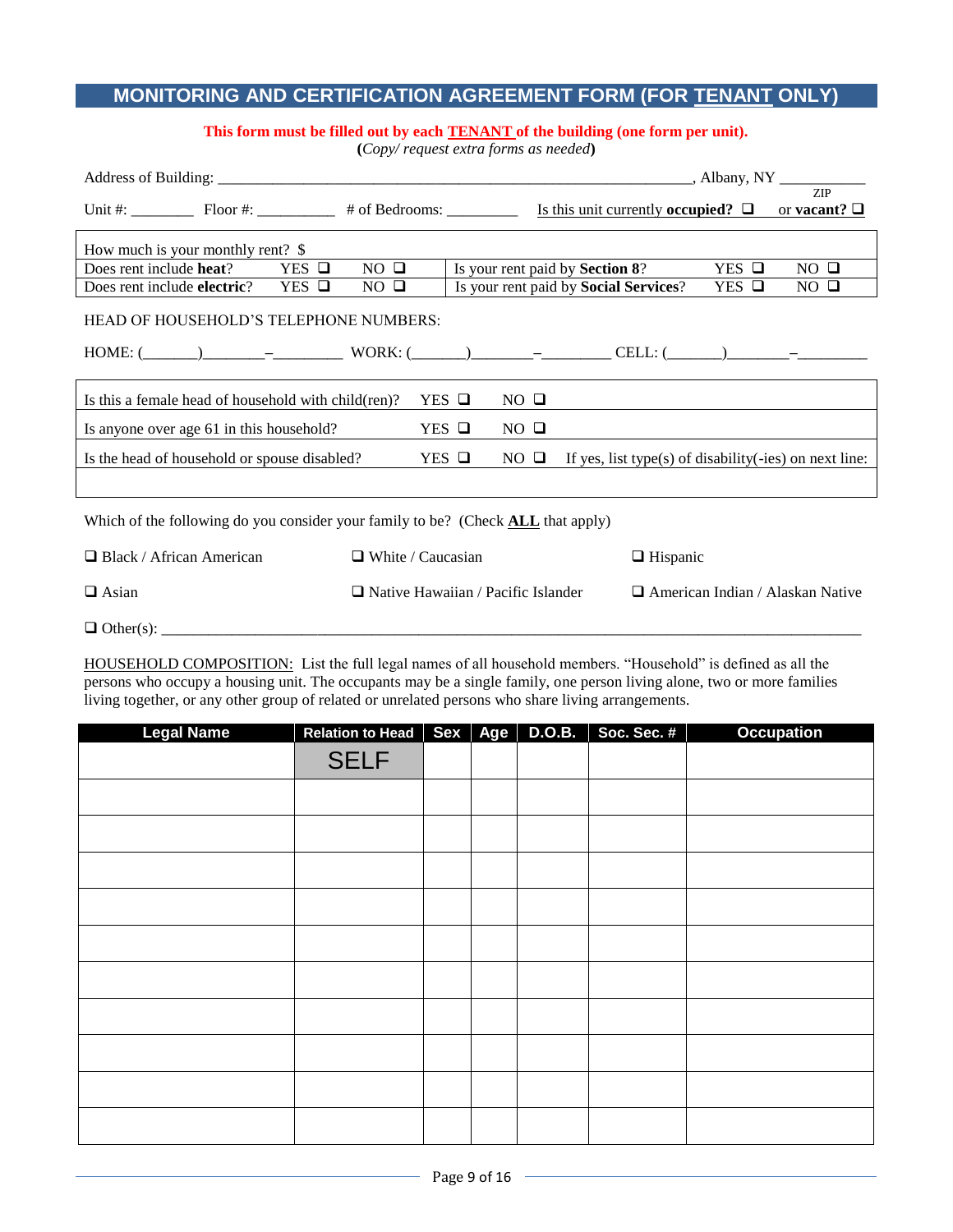#### **MONITORING AND CERTIFICATION AGREEMENT FORM (FOR TENANT ONLY)**

#### **This form must be filled out by each TENANT of the building (one form per unit).**

**(***Copy/ request extra forms as needed***)**

|                                                                                         |              |             |                 |                | Unit #: Floor #: $\qquad \qquad$ # of Bedrooms: $\qquad \qquad$ Is this unit currently occupied? $\Box$                                                                                                                                                                                                                                                                                                                                                                                                       |                 | ZIP<br>or vacant? $\Box$ |  |
|-----------------------------------------------------------------------------------------|--------------|-------------|-----------------|----------------|---------------------------------------------------------------------------------------------------------------------------------------------------------------------------------------------------------------------------------------------------------------------------------------------------------------------------------------------------------------------------------------------------------------------------------------------------------------------------------------------------------------|-----------------|--------------------------|--|
| How much is your monthly rent? \$                                                       |              |             |                 |                |                                                                                                                                                                                                                                                                                                                                                                                                                                                                                                               |                 |                          |  |
| Does rent include <b>heat</b> ?                                                         | $YES$ $\Box$ | $NO$ $\Box$ |                 |                | Is your rent paid by <b>Section 8</b> ?                                                                                                                                                                                                                                                                                                                                                                                                                                                                       | $YES$ $\square$ | $NO$ $\Box$              |  |
| Does rent include electric?                                                             | $YES$ $\Box$ | $NO$ $\Box$ |                 |                | Is your rent paid by Social Services?                                                                                                                                                                                                                                                                                                                                                                                                                                                                         | $YES$ $\square$ | $NO$ $\Box$              |  |
| HEAD OF HOUSEHOLD'S TELEPHONE NUMBERS:                                                  |              |             |                 |                | $HOME: (\underline{\hspace{1cm}})$ $\underline{\hspace{1cm}}$ $\underline{\hspace{1cm}}$ $\underline{\hspace{1cm}}$ $\underline{\hspace{1cm}}$ $\underline{\hspace{1cm}}$ $\underline{\hspace{1cm}}$ $\underline{\hspace{1cm}}$ $\underline{\hspace{1cm}}$ $\underline{\hspace{1cm}}$ $\underline{\hspace{1cm}}$ $\underline{\hspace{1cm}}$ $\underline{\hspace{1cm}}$ $\underline{\hspace{1cm}}$ $\underline{\hspace{1cm}}$ $\underline{\hspace{1cm}}$ $\underline{\hspace{1cm}}$ $\underline{\hspace{1cm}}$ |                 |                          |  |
| Is this a female head of household with child (ren)?                                    |              |             | $YES$ $\Box$    | $NO$ $\Box$    |                                                                                                                                                                                                                                                                                                                                                                                                                                                                                                               |                 |                          |  |
| Is anyone over age 61 in this household?                                                |              |             | $YES$ $\square$ | $NO$ $\Box$    |                                                                                                                                                                                                                                                                                                                                                                                                                                                                                                               |                 |                          |  |
| Is the head of household or spouse disabled?                                            |              |             | $YES$ $\square$ | $NO$ $\square$ | If yes, list type(s) of disability( $-ies$ ) on next line:                                                                                                                                                                                                                                                                                                                                                                                                                                                    |                 |                          |  |
|                                                                                         |              |             |                 |                |                                                                                                                                                                                                                                                                                                                                                                                                                                                                                                               |                 |                          |  |
| Which of the following do you consider your family to be? (Check <b>ALL</b> that apply) |              |             |                 |                |                                                                                                                                                                                                                                                                                                                                                                                                                                                                                                               |                 |                          |  |

| $\Box$ Black / African American | $\Box$ White / Caucasian                  | $\Box$ Hispanic                         |
|---------------------------------|-------------------------------------------|-----------------------------------------|
| $\Box$ Asian                    | $\Box$ Native Hawaiian / Pacific Islander | $\Box$ American Indian / Alaskan Native |
| $\Box$ Other(s):                |                                           |                                         |

HOUSEHOLD COMPOSITION: List the full legal names of all household members. "Household" is defined as all the persons who occupy a housing unit. The occupants may be a single family, one person living alone, two or more families living together, or any other group of related or unrelated persons who share living arrangements.

| <b>Legal Name</b> | Relation to Head   Sex   Age |  | D.O.B. | Soc. Sec. # | <b>Occupation</b> |
|-------------------|------------------------------|--|--------|-------------|-------------------|
|                   | <b>SELF</b>                  |  |        |             |                   |
|                   |                              |  |        |             |                   |
|                   |                              |  |        |             |                   |
|                   |                              |  |        |             |                   |
|                   |                              |  |        |             |                   |
|                   |                              |  |        |             |                   |
|                   |                              |  |        |             |                   |
|                   |                              |  |        |             |                   |
|                   |                              |  |        |             |                   |
|                   |                              |  |        |             |                   |
|                   |                              |  |        |             |                   |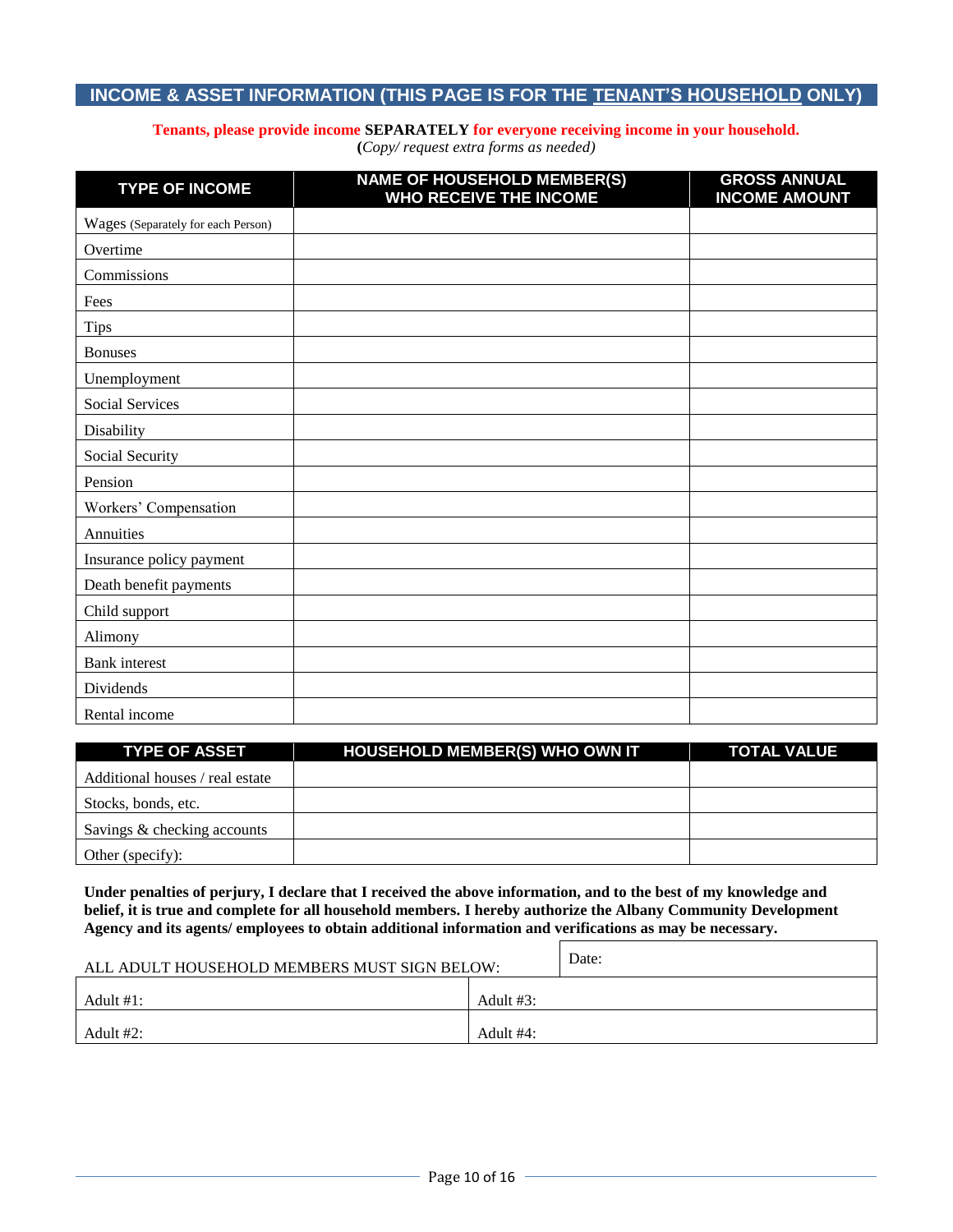#### **INCOME & ASSET INFORMATION (THIS PAGE IS FOR THE TENANT'S HOUSEHOLD ONLY)**

#### **Tenants, please provide income SEPARATELY for everyone receiving income in your household.**

**(***Copy/ request extra forms as needed)*

| <b>TYPE OF INCOME</b>              | <b>NAME OF HOUSEHOLD MEMBER(S)</b><br>WHO RECEIVE THE INCOME | <b>GROSS ANNUAL</b><br><b>INCOME AMOUNT</b> |
|------------------------------------|--------------------------------------------------------------|---------------------------------------------|
| Wages (Separately for each Person) |                                                              |                                             |
| Overtime                           |                                                              |                                             |
| Commissions                        |                                                              |                                             |
| Fees                               |                                                              |                                             |
| <b>Tips</b>                        |                                                              |                                             |
| <b>Bonuses</b>                     |                                                              |                                             |
| Unemployment                       |                                                              |                                             |
| Social Services                    |                                                              |                                             |
| Disability                         |                                                              |                                             |
| Social Security                    |                                                              |                                             |
| Pension                            |                                                              |                                             |
| Workers' Compensation              |                                                              |                                             |
| Annuities                          |                                                              |                                             |
| Insurance policy payment           |                                                              |                                             |
| Death benefit payments             |                                                              |                                             |
| Child support                      |                                                              |                                             |
| Alimony                            |                                                              |                                             |
| <b>Bank</b> interest               |                                                              |                                             |
| Dividends                          |                                                              |                                             |
| Rental income                      |                                                              |                                             |

| <b>TYPE OF ASSET</b>            | <b>HOUSEHOLD MEMBER(S) WHO OWN IT</b> | <b>TOTAL VALUE</b> |
|---------------------------------|---------------------------------------|--------------------|
| Additional houses / real estate |                                       |                    |
| Stocks, bonds, etc.             |                                       |                    |
| Savings & checking accounts     |                                       |                    |
| Other (specify):                |                                       |                    |

**Under penalties of perjury, I declare that I received the above information, and to the best of my knowledge and belief, it is true and complete for all household members. I hereby authorize the Albany Community Development Agency and its agents/ employees to obtain additional information and verifications as may be necessary.**

| ALL ADULT HOUSEHOLD MEMBERS MUST SIGN BELOW: | Date:     |  |
|----------------------------------------------|-----------|--|
| Adult $#3$ :<br>Adult #1:                    |           |  |
| Adult #2:                                    | Adult #4: |  |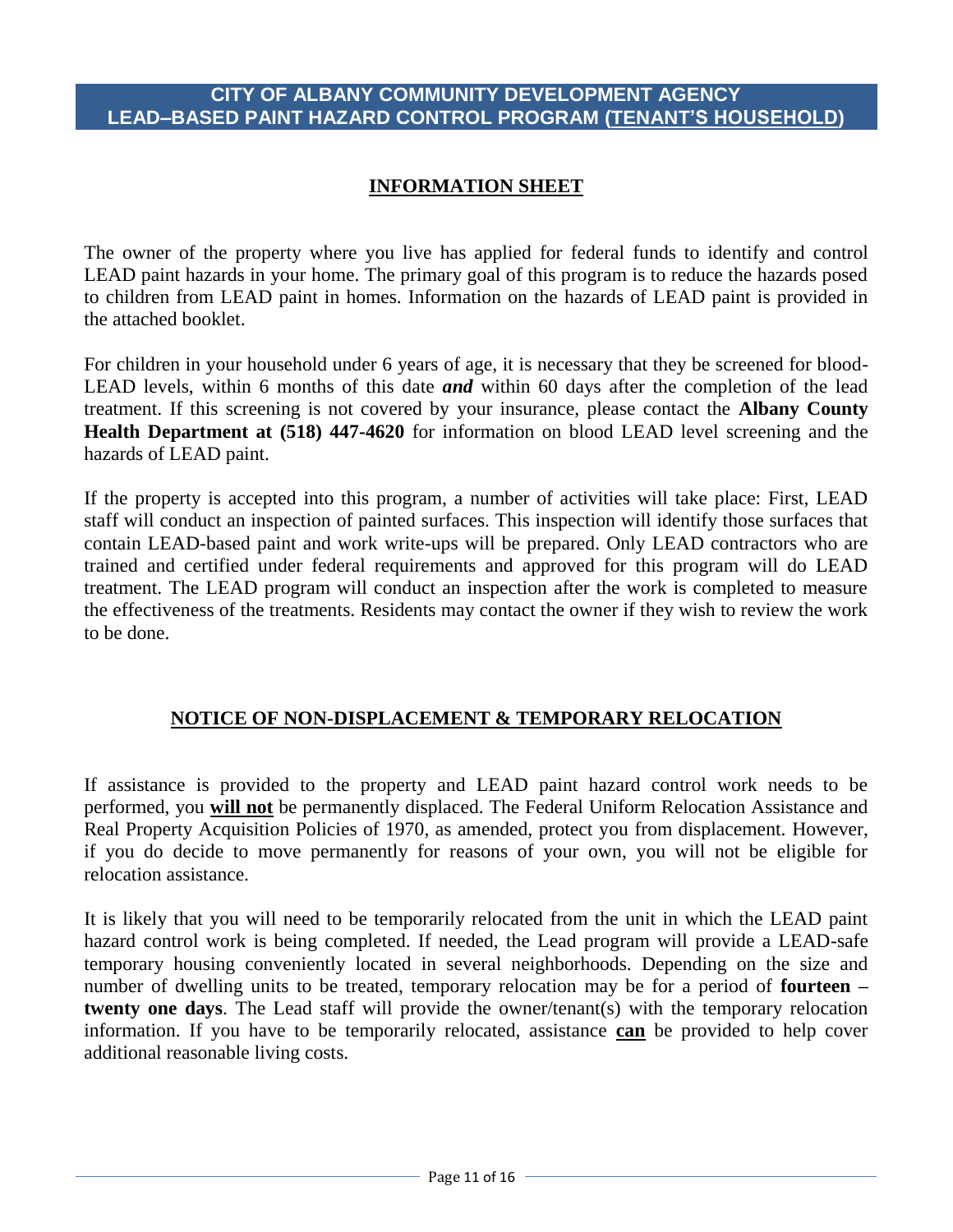#### **CITY OF ALBANY COMMUNITY DEVELOPMENT AGENCY LEAD–BASED PAINT HAZARD CONTROL PROGRAM (TENANT'S HOUSEHOLD)**

#### **INFORMATION SHEET**

The owner of the property where you live has applied for federal funds to identify and control LEAD paint hazards in your home. The primary goal of this program is to reduce the hazards posed to children from LEAD paint in homes. Information on the hazards of LEAD paint is provided in the attached booklet.

For children in your household under 6 years of age, it is necessary that they be screened for blood-LEAD levels, within 6 months of this date *and* within 60 days after the completion of the lead treatment. If this screening is not covered by your insurance, please contact the **Albany County Health Department at (518) 447-4620** for information on blood LEAD level screening and the hazards of LEAD paint.

If the property is accepted into this program, a number of activities will take place: First, LEAD staff will conduct an inspection of painted surfaces. This inspection will identify those surfaces that contain LEAD-based paint and work write-ups will be prepared. Only LEAD contractors who are trained and certified under federal requirements and approved for this program will do LEAD treatment. The LEAD program will conduct an inspection after the work is completed to measure the effectiveness of the treatments. Residents may contact the owner if they wish to review the work to be done.

#### **NOTICE OF NON-DISPLACEMENT & TEMPORARY RELOCATION**

If assistance is provided to the property and LEAD paint hazard control work needs to be performed, you **will not** be permanently displaced. The Federal Uniform Relocation Assistance and Real Property Acquisition Policies of 1970, as amended, protect you from displacement. However, if you do decide to move permanently for reasons of your own, you will not be eligible for relocation assistance.

It is likely that you will need to be temporarily relocated from the unit in which the LEAD paint hazard control work is being completed. If needed, the Lead program will provide a LEAD-safe temporary housing conveniently located in several neighborhoods. Depending on the size and number of dwelling units to be treated, temporary relocation may be for a period of **fourteen – twenty one days**. The Lead staff will provide the owner/tenant(s) with the temporary relocation information. If you have to be temporarily relocated, assistance **can** be provided to help cover additional reasonable living costs.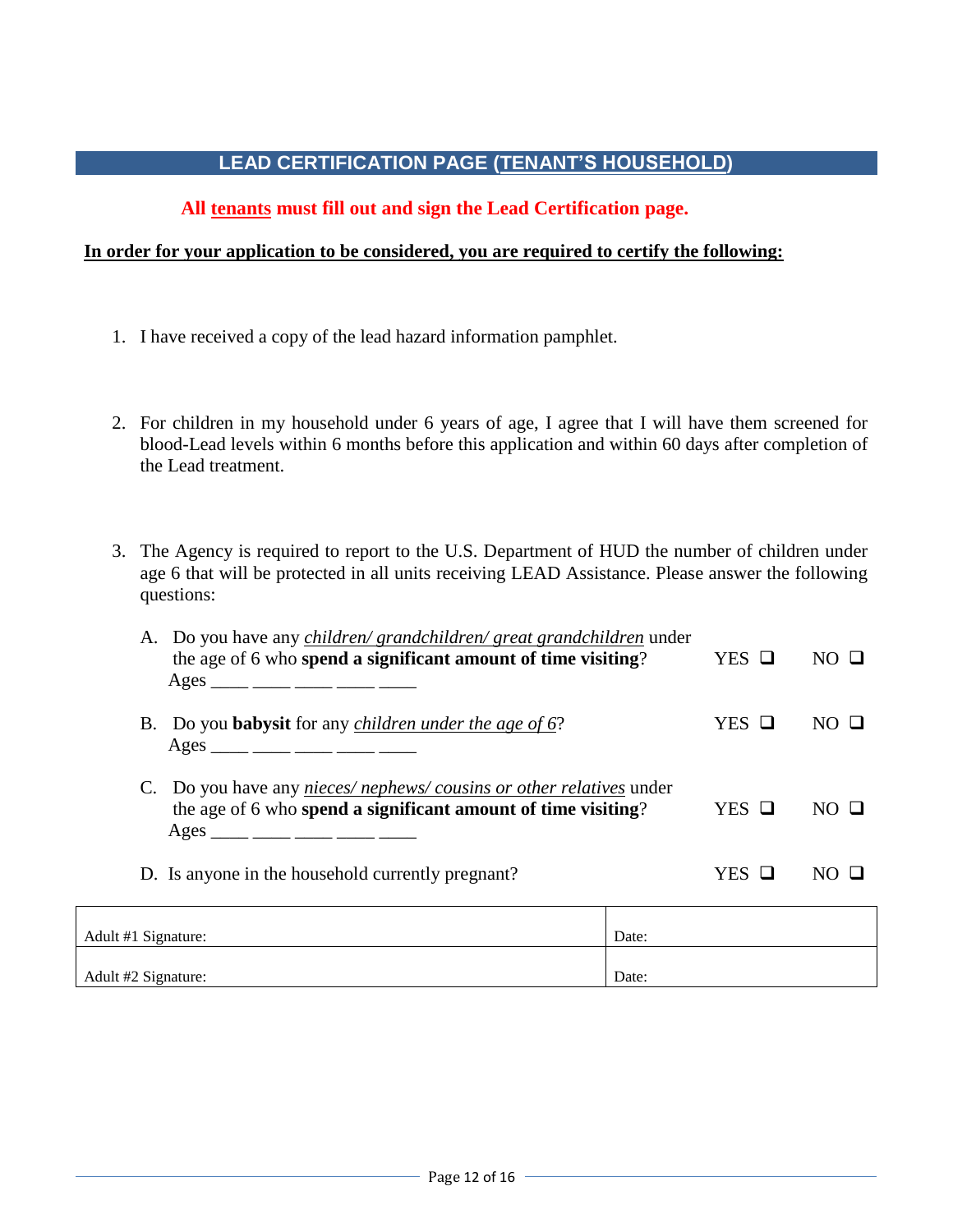#### **LEAD CERTIFICATION PAGE (TENANT'S HOUSEHOLD)**

#### **All tenants must fill out and sign the Lead Certification page.**

#### **In order for your application to be considered, you are required to certify the following:**

- 1. I have received a copy of the lead hazard information pamphlet.
- 2. For children in my household under 6 years of age, I agree that I will have them screened for blood-Lead levels within 6 months before this application and within 60 days after completion of the Lead treatment.
- 3. The Agency is required to report to the U.S. Department of HUD the number of children under age 6 that will be protected in all units receiving LEAD Assistance. Please answer the following questions:

|                                                                                                                                                                                              | A. Do you have any <i>children/ grandchildren/ great grandchildren</i> under<br>the age of 6 who spend a significant amount of time visiting?<br>Ages ____ ___ ___ ____ ____ ____ |       |       | $NO$ $\square$ |
|----------------------------------------------------------------------------------------------------------------------------------------------------------------------------------------------|-----------------------------------------------------------------------------------------------------------------------------------------------------------------------------------|-------|-------|----------------|
|                                                                                                                                                                                              | B. Do you <b>babysit</b> for any <i>children under the age of 6?</i><br>Ages ____ ___ ____ ____ ____ ____                                                                         |       |       | $NO$ $\Box$    |
| C. Do you have any <i>nieces/nephews/cousins or other relatives</i> under<br>the age of 6 who spend a significant amount of time visiting?<br>$\text{Ages}$ _____ ____ ____ ____ _____ _____ |                                                                                                                                                                                   |       | YES Q | $NO$ $\Box$    |
| D. Is anyone in the household currently pregnant?                                                                                                                                            |                                                                                                                                                                                   | YES 口 | NO.   |                |
| Adult #1 Signature:                                                                                                                                                                          |                                                                                                                                                                                   | Date: |       |                |
| Adult #2 Signature:                                                                                                                                                                          |                                                                                                                                                                                   | Date: |       |                |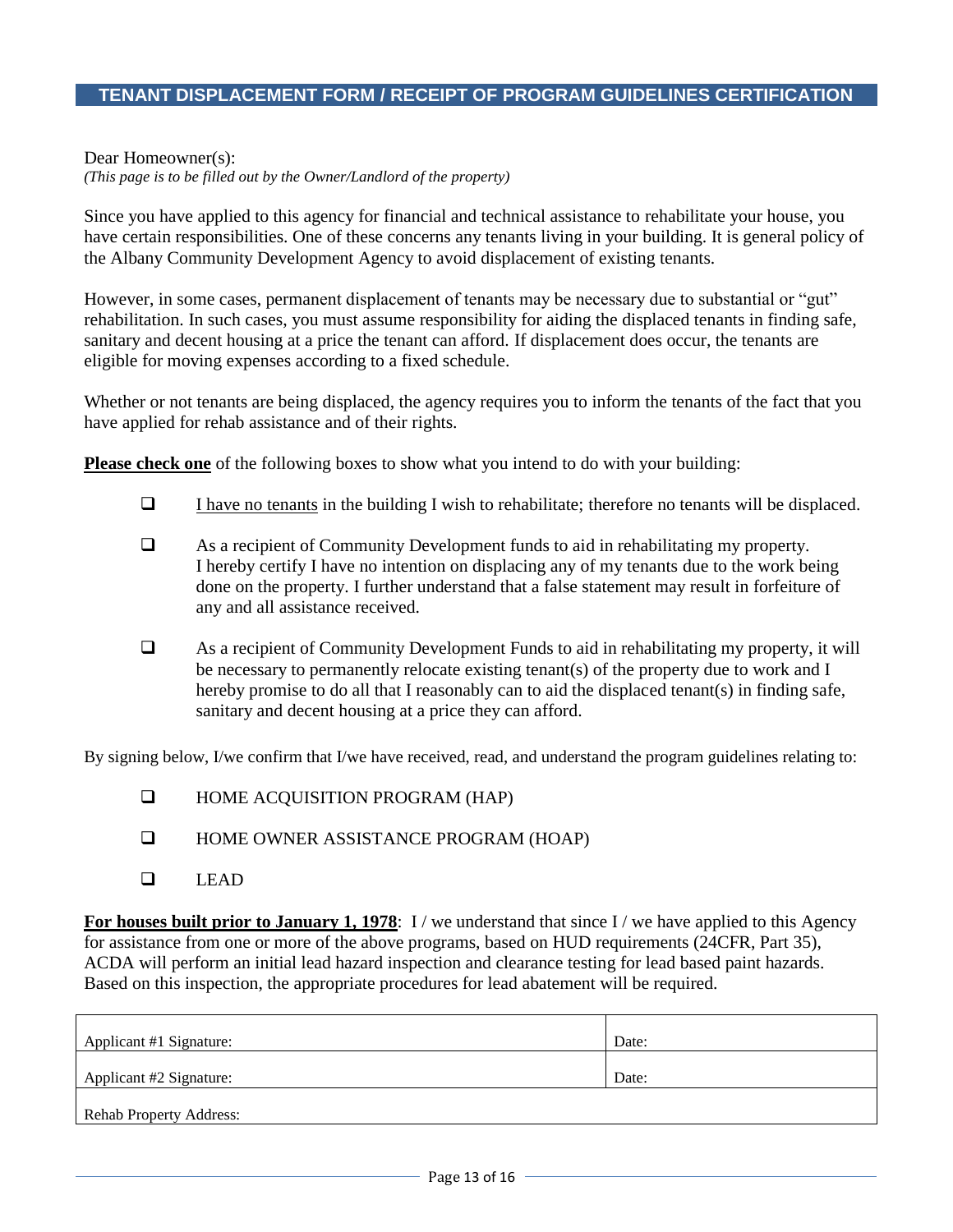#### **TENANT DISPLACEMENT FORM / RECEIPT OF PROGRAM GUIDELINES CERTIFICATION**

#### Dear Homeowner(s):

*(This page is to be filled out by the Owner/Landlord of the property)*

Since you have applied to this agency for financial and technical assistance to rehabilitate your house, you have certain responsibilities. One of these concerns any tenants living in your building. It is general policy of the Albany Community Development Agency to avoid displacement of existing tenants.

However, in some cases, permanent displacement of tenants may be necessary due to substantial or "gut" rehabilitation. In such cases, you must assume responsibility for aiding the displaced tenants in finding safe, sanitary and decent housing at a price the tenant can afford. If displacement does occur, the tenants are eligible for moving expenses according to a fixed schedule.

Whether or not tenants are being displaced, the agency requires you to inform the tenants of the fact that you have applied for rehab assistance and of their rights.

**Please check one** of the following boxes to show what you intend to do with your building:

- $\Box$  I have no tenants in the building I wish to rehabilitate; therefore no tenants will be displaced.
- As a recipient of Community Development funds to aid in rehabilitating my property. I hereby certify I have no intention on displacing any of my tenants due to the work being done on the property. I further understand that a false statement may result in forfeiture of any and all assistance received.
- As a recipient of Community Development Funds to aid in rehabilitating my property, it will be necessary to permanently relocate existing tenant(s) of the property due to work and I hereby promise to do all that I reasonably can to aid the displaced tenant(s) in finding safe, sanitary and decent housing at a price they can afford.

By signing below, I/we confirm that I/we have received, read, and understand the program guidelines relating to:

- **HOME ACQUISITION PROGRAM (HAP)**
- **HOME OWNER ASSISTANCE PROGRAM (HOAP)**
- LEAD

**For houses built prior to January 1, 1978**: I/we understand that since I/we have applied to this Agency for assistance from one or more of the above programs, based on HUD requirements (24CFR, Part 35), ACDA will perform an initial lead hazard inspection and clearance testing for lead based paint hazards. Based on this inspection, the appropriate procedures for lead abatement will be required.

| Applicant #1 Signature:        | Date: |
|--------------------------------|-------|
| Applicant #2 Signature:        | Date: |
| <b>Rehab Property Address:</b> |       |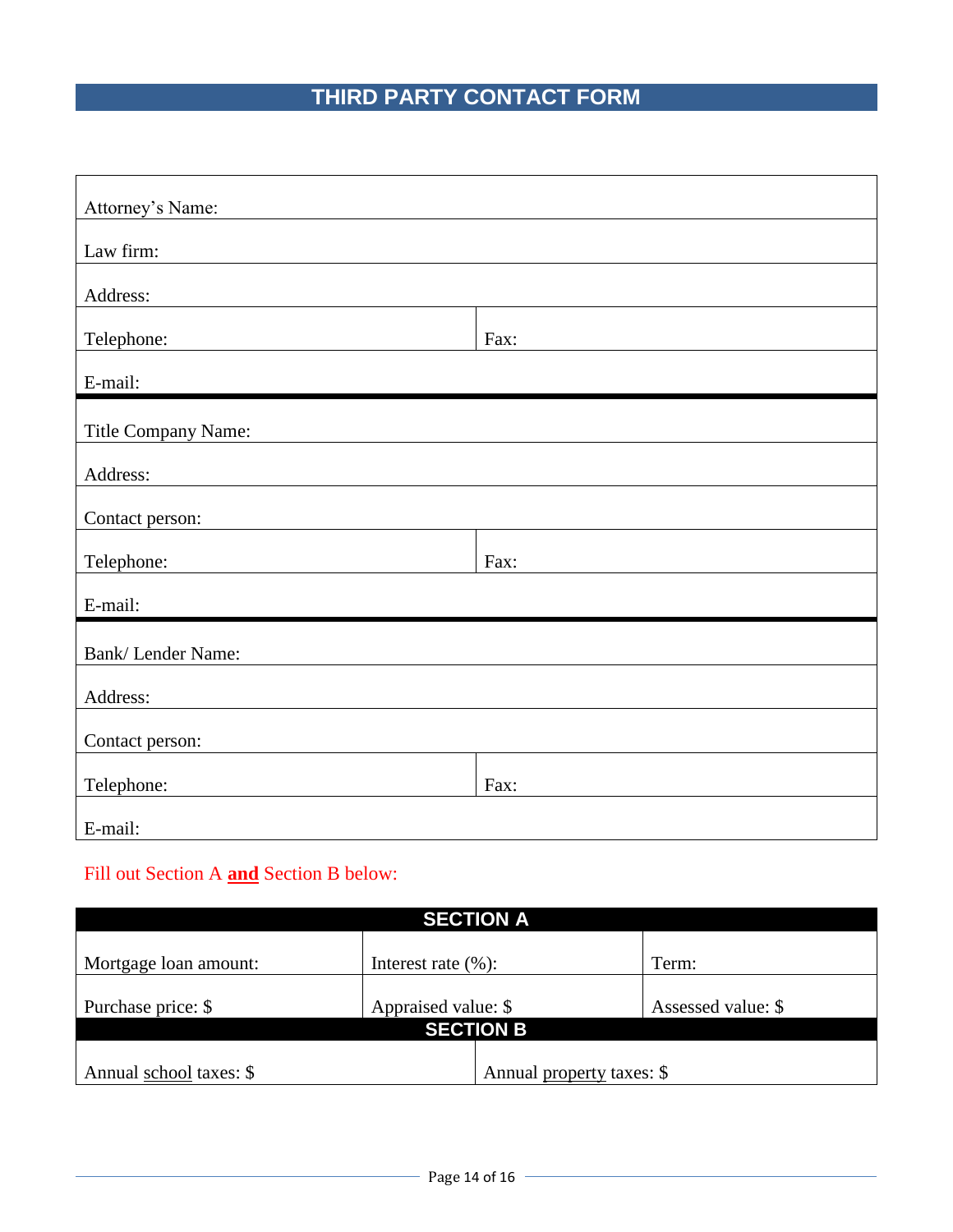## **THIRD PARTY CONTACT FORM**

| Attorney's Name:    |      |  |  |  |
|---------------------|------|--|--|--|
|                     |      |  |  |  |
| Law firm:           |      |  |  |  |
| Address:            |      |  |  |  |
| Telephone:          | Fax: |  |  |  |
|                     |      |  |  |  |
| E-mail:             |      |  |  |  |
|                     |      |  |  |  |
| Title Company Name: |      |  |  |  |
| Address:            |      |  |  |  |
|                     |      |  |  |  |
| Contact person:     |      |  |  |  |
| Telephone:          | Fax: |  |  |  |
| E-mail:             |      |  |  |  |
|                     |      |  |  |  |
| Bank/Lender Name:   |      |  |  |  |
| Address:            |      |  |  |  |
|                     |      |  |  |  |
| Contact person:     |      |  |  |  |
| Telephone:          | Fax: |  |  |  |
|                     |      |  |  |  |
| E-mail:             |      |  |  |  |

## Fill out Section A **and** Section B below:

| <b>SECTION A</b>                                     |                         |  |                    |  |
|------------------------------------------------------|-------------------------|--|--------------------|--|
| Mortgage loan amount:                                | Interest rate $(\% )$ : |  | Term:              |  |
| Purchase price: \$                                   | Appraised value: \$     |  | Assessed value: \$ |  |
| <b>SECTION B</b>                                     |                         |  |                    |  |
| Annual property taxes: \$<br>Annual school taxes: \$ |                         |  |                    |  |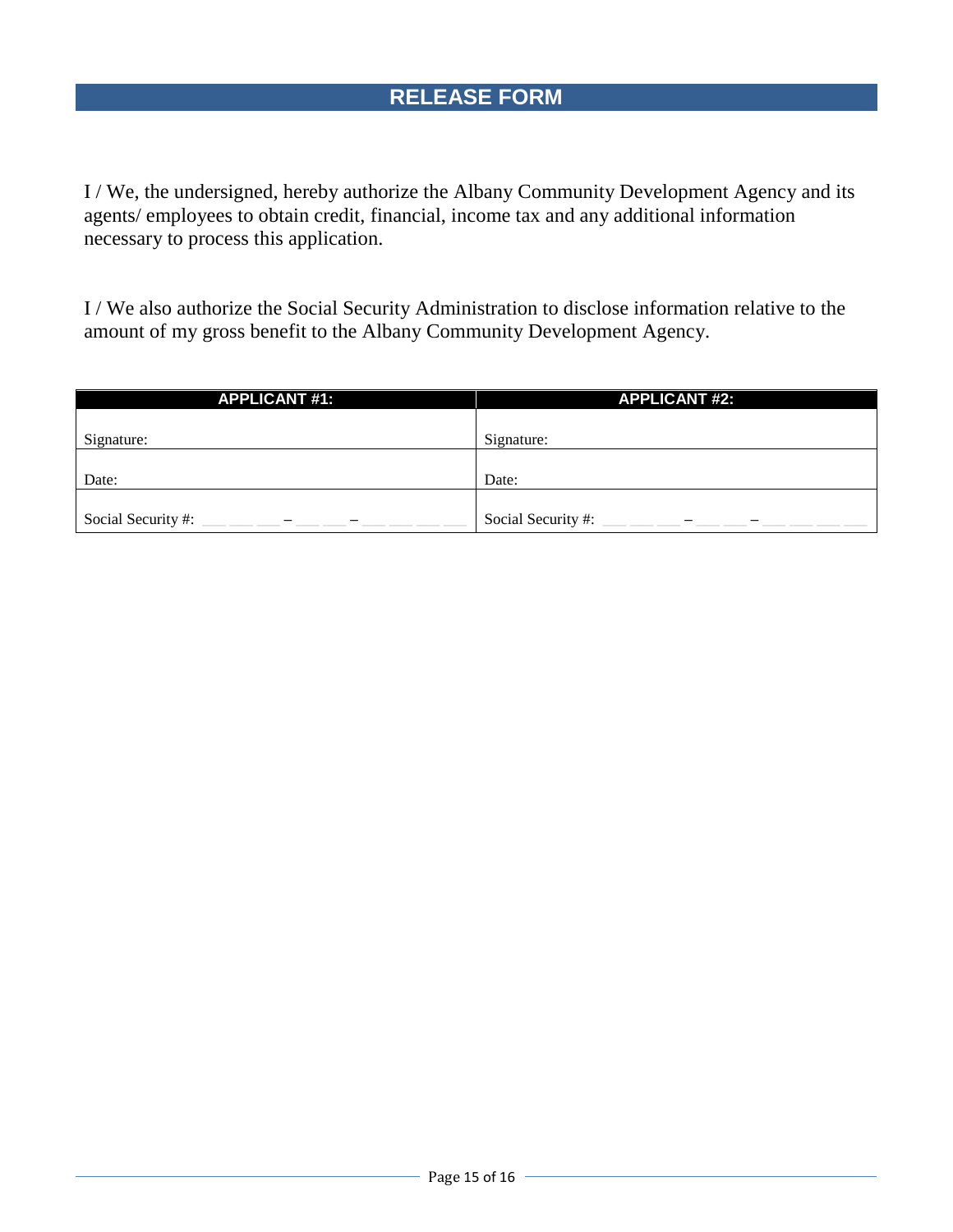I / We, the undersigned, hereby authorize the Albany Community Development Agency and its agents/ employees to obtain credit, financial, income tax and any additional information necessary to process this application.

I / We also authorize the Social Security Administration to disclose information relative to the amount of my gross benefit to the Albany Community Development Agency.

| <b>APPLICANT #1:</b> | <b>APPLICANT #2:</b> |
|----------------------|----------------------|
|                      |                      |
| Signature:           | Signature:           |
|                      |                      |
| Date:                | Date:                |
|                      |                      |
| Social Security #:   | Social Security #:   |